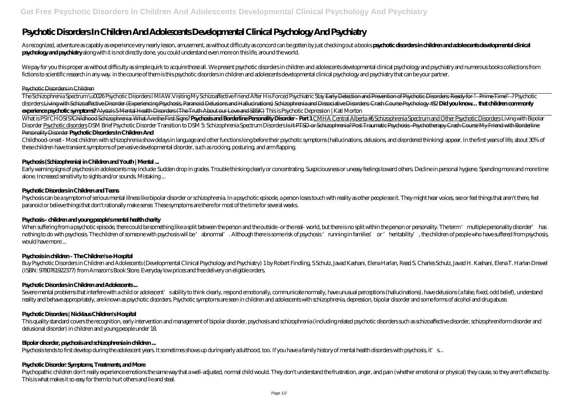# **Psychotic Disorders In Children And Adolescents Developmental Clinical Psychology And Psychiatry**

As recognized, adventure as capably as experience very nearly lesson, amusement, as without difficulty as concord can be gotten by just checking out a books psychotic disorders in children and adolescents developmental cli **psychology and psychiatry** along with it is not directly done, you could understand even more on this life, around the world.

We pay for you this proper as without difficulty as simple quirk to acquire those all. We present psychotic disorders in children and adolescents developmental clinical psychology and psychiatry and numerous books collecti fictions to scientific research in any way. in the course of them is this psychotic disorders in children and adolescents developmental clinical psychology and psychiatry that can be your partner.

The Schizophrenia Spectrum \uCO26Psychotic Disorders1MIAW. Visiting My Schizoaffective Friend After His Forced Psychiatric Stay Early Detection and Prevention of Psychotic Disorders: Ready for "Prime Time" ? Psychotic disorders Living with Schizoaffective Disorder (Experiencing Psychosis, Paranoid Delusions and Hallucinations) Schizophrenia and Dissociative Disorders Crash Course Psychology #32 Did you know... that children commonly **experience psychotic symptoms?** Alyssa's 5 Mental Health Disorders (The Truth About our Love and SBSK) *This is Psychotic Depression | Kati Morton*

### Psychotic Disorders in Children

What is PSYCHOSIS?Childhood Schizophrenia: What Are the First Signs? Psychosis and Borderline Personality Disorder - Part 1 CMHA Central Alberta #6Schizophrenia Spectrum and Other Psychotic Disorders Living with Bipolar Disorder Psychotic disorders DSM Brief Psychotic Disorder Transition to DSM 5 Schizophrenia Spectrum Disorders Is Ht PTSD or Schizophrenia? Post Traumatic Psychosis - Psychotherapy Crash Course My Friend with Borderline Personality Disorder **Psychotic Disorders In Children And**

Childhood-onset - Most children with schizophrenia show delays in language and other functions long before their psychotic symptoms (hallucinations, delusions, and disordered thinking) appear. In the first years of life, a these children have transient symptoms of pervasive developmental disorder, such as rocking, posturing, and arm flapping.

Early warning signs of psychosis in adolescents may include: Sudden drop in grades. Trouble thinking clearly or concentrating. Suspiciousness or uneasy feelings toward others. Decline in personal hygiene. Spending more and alone. Increased sensitivity to sights and/or sounds. Mistaking ...

Psychosis can be a symptom of serious mental illness like bipolar disorder or schizophrenia. In a psychotic episode, a person loses touch with reality as other people see it. They might hear voices, see or feel things that paranoid or believe things that don't rationally make sense. These symptoms are there for most of the time for several weeks.

When suffering from a psychotic episode, there could be something like a split between the person and the outside - or the real- world, but there is no split within the person or personality. The term 'multiple personality nothing to do with psychosis. The children of someone with psychosis will be 'abnormal'. Although there is some risk of psychosis 'running in families' or 'heritability', the children of people who have suffered from psych would have more ...

Buy Psychotic Disorders in Children and Adolescents (Developmental Clinical Psychology and Psychiatry) 1 by Robert Findling, S Schulz, Javad Kashani, Elena Harlan, Read S. Charles Schulz, Javad H. Kashani, Elena T. Harlan (ISBN: 9780761922377) from Amazon's Book Store. Everyday low prices and free delivery on eligible orders.

Severe mental problems that interfere with a child or adolescent' sability to think clearly, respond emotionally, communicate normally, have unusual perceptions (hallucinations), have delusions (a false, fixed, odd belief) reality and behave appropriately, are known as psychotic disorders. Psychotic symptoms are seen in children and adolescents with schizophrenia, depression, bipolar disorder and some forms of alcohol and drug abuse.

### **Psychosis (Schizophrenia) in Children and Youth | Mental ...**

This quality standard covers the recognition, early intervention and management of bipolar disorder, psychosis and schizophrenia (including related psychotic disorders such as schizoaffective disorder, schizophreniform dis delusional disorder) in children and young people under 18.

Psychopathic children don't really experience emotions the same way that a well-adjusted, normal child would. They don't understand the frustration, anger, and pain (whether emotional or physical) they cause, so they aren' This is what makes it so easy for them to hurt others and lie and steal.

### **Psychotic Disorders in Children and Teens**

# **Psychosis - children and young people's mental health charity**

# **Psychosis in children - The Children's e-Hospital**

# **Psychotic Disorders in Children and Adolescents ...**

# **Psychotic Disorders | Nicklaus Children's Hospital**

### **Bipolar disorder, psychosis and schizophrenia in children ...**

Psychosis tends to first develop during the adolescent years. It sometimes shows up during early adulthood, too. If you have a family history of mental health disorders with psychosis, it's...

### **Psychotic Disorder: Symptoms, Treatments, and More**